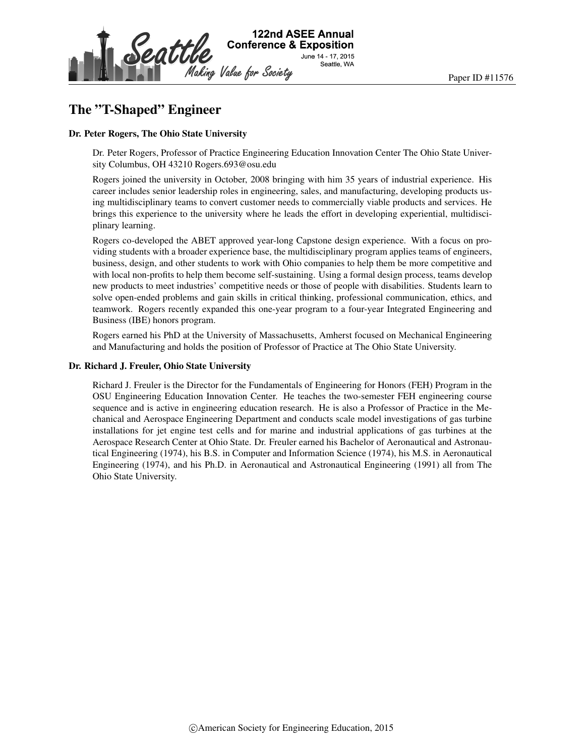

# The "T-Shaped" Engineer

#### Dr. Peter Rogers, The Ohio State University

Dr. Peter Rogers, Professor of Practice Engineering Education Innovation Center The Ohio State University Columbus, OH 43210 Rogers.693@osu.edu

Rogers joined the university in October, 2008 bringing with him 35 years of industrial experience. His career includes senior leadership roles in engineering, sales, and manufacturing, developing products using multidisciplinary teams to convert customer needs to commercially viable products and services. He brings this experience to the university where he leads the effort in developing experiential, multidisciplinary learning.

Rogers co-developed the ABET approved year-long Capstone design experience. With a focus on providing students with a broader experience base, the multidisciplinary program applies teams of engineers, business, design, and other students to work with Ohio companies to help them be more competitive and with local non-profits to help them become self-sustaining. Using a formal design process, teams develop new products to meet industries' competitive needs or those of people with disabilities. Students learn to solve open-ended problems and gain skills in critical thinking, professional communication, ethics, and teamwork. Rogers recently expanded this one-year program to a four-year Integrated Engineering and Business (IBE) honors program.

Rogers earned his PhD at the University of Massachusetts, Amherst focused on Mechanical Engineering and Manufacturing and holds the position of Professor of Practice at The Ohio State University.

#### Dr. Richard J. Freuler, Ohio State University

Richard J. Freuler is the Director for the Fundamentals of Engineering for Honors (FEH) Program in the OSU Engineering Education Innovation Center. He teaches the two-semester FEH engineering course sequence and is active in engineering education research. He is also a Professor of Practice in the Mechanical and Aerospace Engineering Department and conducts scale model investigations of gas turbine installations for jet engine test cells and for marine and industrial applications of gas turbines at the Aerospace Research Center at Ohio State. Dr. Freuler earned his Bachelor of Aeronautical and Astronautical Engineering (1974), his B.S. in Computer and Information Science (1974), his M.S. in Aeronautical Engineering (1974), and his Ph.D. in Aeronautical and Astronautical Engineering (1991) all from The Ohio State University.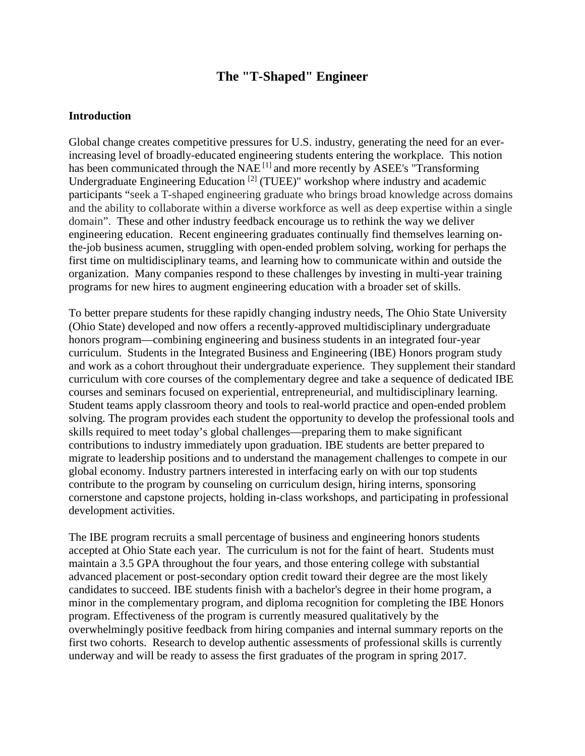# **The "T-Shaped" Engineer**

#### **Introduction**

Global change creates competitive pressures for U.S. industry, generating the need for an everincreasing level of broadly-educated engineering students entering the workplace. This notion has been communicated through the  $NAE^{[1]}$  and more recently by ASEE's "Transforming Undergraduate Engineering Education [2] (TUEE)" workshop where industry and academic participants "seek a T-shaped engineering graduate who brings broad knowledge across domains and the ability to collaborate within a diverse workforce as well as deep expertise within a single domain". These and other industry feedback encourage us to rethink the way we deliver engineering education. Recent engineering graduates continually find themselves learning onthe-job business acumen, struggling with open-ended problem solving, working for perhaps the first time on multidisciplinary teams, and learning how to communicate within and outside the organization. Many companies respond to these challenges by investing in multi-year training programs for new hires to augment engineering education with a broader set of skills.

To better prepare students for these rapidly changing industry needs, The Ohio State University (Ohio State) developed and now offers a recently-approved multidisciplinary undergraduate honors program—combining engineering and business students in an integrated four-year curriculum. Students in the Integrated Business and Engineering (IBE) Honors program study and work as a cohort throughout their undergraduate experience. They supplement their standard curriculum with core courses of the complementary degree and take a sequence of dedicated IBE courses and seminars focused on experiential, entrepreneurial, and multidisciplinary learning. Student teams apply classroom theory and tools to real-world practice and open-ended problem solving. The program provides each student the opportunity to develop the professional tools and skills required to meet today's global challenges—preparing them to make significant contributions to industry immediately upon graduation. IBE students are better prepared to migrate to leadership positions and to understand the management challenges to compete in our global economy. Industry partners interested in interfacing early on with our top students contribute to the program by counseling on curriculum design, hiring interns, sponsoring cornerstone and capstone projects, holding in-class workshops, and participating in professional development activities.

The IBE program recruits a small percentage of business and engineering honors students accepted at Ohio State each year. The curriculum is not for the faint of heart. Students must maintain a 3.5 GPA throughout the four years, and those entering college with substantial advanced placement or post-secondary option credit toward their degree are the most likely candidates to succeed. IBE students finish with a bachelor's degree in their home program, a minor in the complementary program, and diploma recognition for completing the IBE Honors program. Effectiveness of the program is currently measured qualitatively by the overwhelmingly positive feedback from hiring companies and internal summary reports on the first two cohorts. Research to develop authentic assessments of professional skills is currently underway and will be ready to assess the first graduates of the program in spring 2017.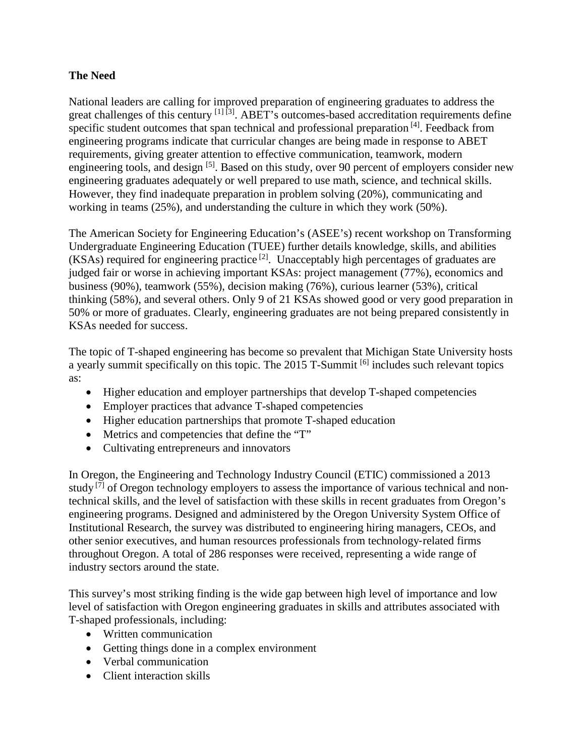## **The Need**

National leaders are calling for improved preparation of engineering graduates to address the great challenges of this century [1] [3]. ABET's outcomes-based accreditation requirements define specific student outcomes that span technical and professional preparation  $[4]$ . Feedback from engineering programs indicate that curricular changes are being made in response to ABET requirements, giving greater attention to effective communication, teamwork, modern engineering tools, and design <sup>[5]</sup>. Based on this study, over 90 percent of employers consider new engineering graduates adequately or well prepared to use math, science, and technical skills. However, they find inadequate preparation in problem solving (20%), communicating and working in teams (25%), and understanding the culture in which they work (50%).

The American Society for Engineering Education's (ASEE's) recent workshop on Transforming Undergraduate Engineering Education (TUEE) further details knowledge, skills, and abilities  $(KSAs)$  required for engineering practice <sup>[2]</sup>. Unacceptably high percentages of graduates are judged fair or worse in achieving important KSAs: project management (77%), economics and business (90%), teamwork (55%), decision making (76%), curious learner (53%), critical thinking (58%), and several others. Only 9 of 21 KSAs showed good or very good preparation in 50% or more of graduates. Clearly, engineering graduates are not being prepared consistently in KSAs needed for success.

The topic of T-shaped engineering has become so prevalent that Michigan State University hosts a yearly summit specifically on this topic. The 2015 T-Summit <sup>[6]</sup> includes such relevant topics as:

- Higher education and employer partnerships that develop T-shaped competencies
- Employer practices that advance T-shaped competencies
- Higher education partnerships that promote T-shaped education
- Metrics and competencies that define the "T"
- Cultivating entrepreneurs and innovators

In Oregon, the Engineering and Technology Industry Council (ETIC) commissioned a 2013 study  $^{[7]}$  of Oregon technology employers to assess the importance of various technical and nontechnical skills, and the level of satisfaction with these skills in recent graduates from Oregon's engineering programs. Designed and administered by the Oregon University System Office of Institutional Research, the survey was distributed to engineering hiring managers, CEOs, and other senior executives, and human resources professionals from technology‐related firms throughout Oregon. A total of 286 responses were received, representing a wide range of industry sectors around the state.

This survey's most striking finding is the wide gap between high level of importance and low level of satisfaction with Oregon engineering graduates in skills and attributes associated with T-shaped professionals, including:

- Written communication
- Getting things done in a complex environment
- Verbal communication
- Client interaction skills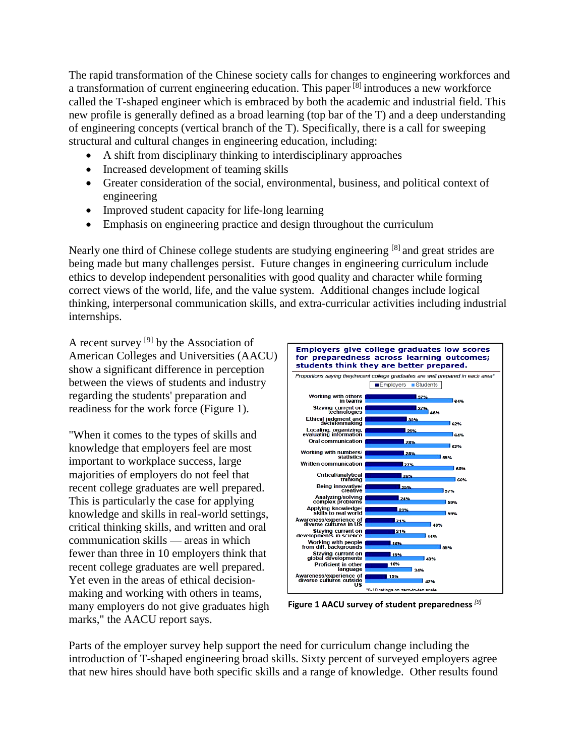The rapid transformation of the Chinese society calls for changes to engineering workforces and a transformation of current engineering education. This paper  $^{\lbrack 8]}$  introduces a new workforce called the T-shaped engineer which is embraced by both the academic and industrial field. This new profile is generally defined as a broad learning (top bar of the T) and a deep understanding of engineering concepts (vertical branch of the T). Specifically, there is a call for sweeping structural and cultural changes in engineering education, including:

- A shift from disciplinary thinking to interdisciplinary approaches
- Increased development of teaming skills
- Greater consideration of the social, environmental, business, and political context of engineering
- Improved student capacity for life-long learning
- Emphasis on engineering practice and design throughout the curriculum

Nearly one third of Chinese college students are studying engineering <sup>[8]</sup> and great strides are being made but many challenges persist. Future changes in engineering curriculum include ethics to develop independent personalities with good quality and character while forming correct views of the world, life, and the value system. Additional changes include logical thinking, interpersonal communication skills, and extra-curricular activities including industrial internships.

A recent survey  $[9]$  by the Association of American Colleges and Universities (AACU) show a significant difference in perception between the views of students and industry regarding the students' preparation and readiness for the work force (Figure 1).

"When it comes to the types of skills and knowledge that employers feel are most important to workplace success, large majorities of employers do not feel that recent college graduates are well prepared. This is particularly the case for applying knowledge and skills in real-world settings, critical thinking skills, and written and oral communication skills — areas in which fewer than three in 10 employers think that recent college graduates are well prepared. Yet even in the areas of ethical decisionmaking and working with others in teams, many employers do not give graduates high marks," the AACU report says.



**Figure 1 AACU survey of student preparedness** *[9]*

Parts of the employer survey help support the need for curriculum change including the introduction of T-shaped engineering broad skills. Sixty percent of surveyed employers agree that new hires should have both specific skills and a range of knowledge. Other results found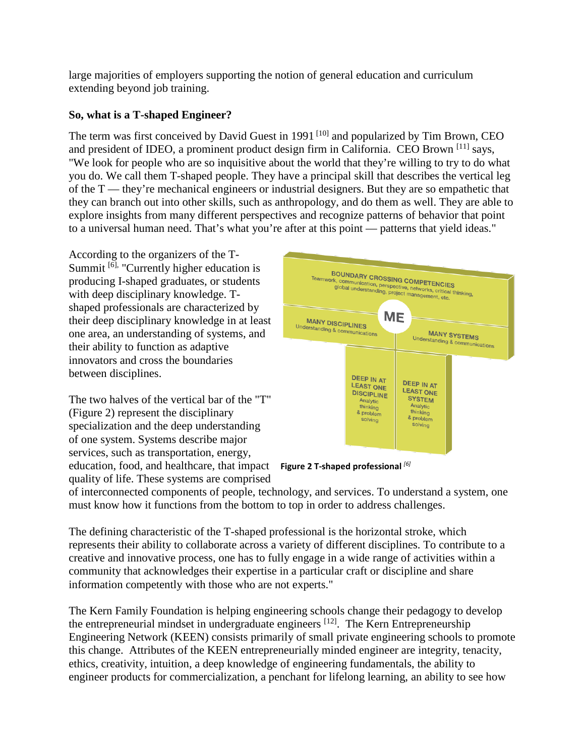large majorities of employers supporting the notion of general education and curriculum extending beyond job training.

# **So, what is a T-shaped Engineer?**

The term was first conceived by David Guest in 1991<sup>[10]</sup> and popularized by Tim Brown, CEO and president of IDEO, a prominent product design firm in California. CEO Brown [11] says, "We look for people who are so inquisitive about the world that they're willing to try to do what you do. We call them T-shaped people. They have a principal skill that describes the vertical leg of the T — they're mechanical engineers or industrial designers. But they are so empathetic that they can branch out into other skills, such as anthropology, and do them as well. They are able to explore insights from many different perspectives and recognize patterns of behavior that point to a universal human need. That's what you're after at this point — patterns that yield ideas."

According to the organizers of the T-Summit  $\left[6\right]$ , "Currently higher education is producing I-shaped graduates, or students with deep disciplinary knowledge. Tshaped professionals are characterized by their deep disciplinary knowledge in at least one area, an understanding of systems, and their ability to function as adaptive innovators and cross the boundaries between disciplines.

The two halves of the vertical bar of the "T" (Figure 2) represent the disciplinary specialization and the deep understanding of one system. Systems describe major services, such as transportation, energy, education, food, and healthcare, that impact **Figure 2 T-shaped professional** *[6]*quality of life. These systems are comprised



of interconnected components of people, technology, and services. To understand a system, one must know how it functions from the bottom to top in order to address challenges.

The defining characteristic of the T-shaped professional is the horizontal stroke, which represents their ability to collaborate across a variety of different disciplines. To contribute to a creative and innovative process, one has to fully engage in a wide range of activities within a community that acknowledges their expertise in a particular craft or discipline and share information competently with those who are not experts."

The Kern Family Foundation is helping engineering schools change their pedagogy to develop the entrepreneurial mindset in undergraduate engineers  $[12]$ . The Kern Entrepreneurship Engineering Network (KEEN) consists primarily of small private engineering schools to promote this change. Attributes of the KEEN entrepreneurially minded engineer are integrity, tenacity, ethics, creativity, intuition, a deep knowledge of engineering fundamentals, the ability to engineer products for commercialization, a penchant for lifelong learning, an ability to see how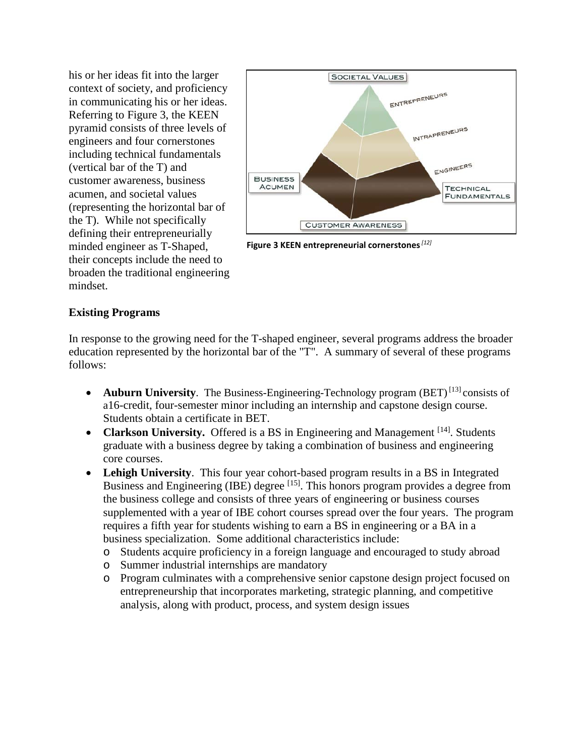his or her ideas fit into the larger context of society, and proficiency in communicating his or her ideas. Referring to Figure 3, the KEEN pyramid consists of three levels of engineers and four cornerstones including technical fundamentals (vertical bar of the T) and customer awareness, business acumen, and societal values (representing the horizontal bar of the T). While not specifically defining their entrepreneurially minded engineer as T-Shaped, their concepts include the need to broaden the traditional engineering mindset.



**Figure 3 KEEN entrepreneurial cornerstones***[12]*

#### **Existing Programs**

In response to the growing need for the T-shaped engineer, several programs address the broader education represented by the horizontal bar of the "T". A summary of several of these programs follows:

- **Auburn University**. The Business-Engineering-Technology program (BET)<sup>[13]</sup> consists of a16-credit, four-semester minor including an internship and capstone design course. Students obtain a certificate in BET.
- **Clarkson University.** Offered is a BS in Engineering and Management <sup>[14]</sup>. Students graduate with a business degree by taking a combination of business and engineering core courses.
- **Lehigh University**. This four year cohort-based program results in a BS in Integrated Business and Engineering (IBE) degree <sup>[15]</sup>. This honors program provides a degree from the business college and consists of three years of engineering or business courses supplemented with a year of IBE cohort courses spread over the four years. The program requires a fifth year for students wishing to earn a BS in engineering or a BA in a business specialization. Some additional characteristics include:
	- o Students acquire proficiency in a foreign language and encouraged to study abroad
	- o Summer industrial internships are mandatory
	- o Program culminates with a comprehensive senior capstone design project focused on entrepreneurship that incorporates marketing, strategic planning, and competitive analysis, along with product, process, and system design issues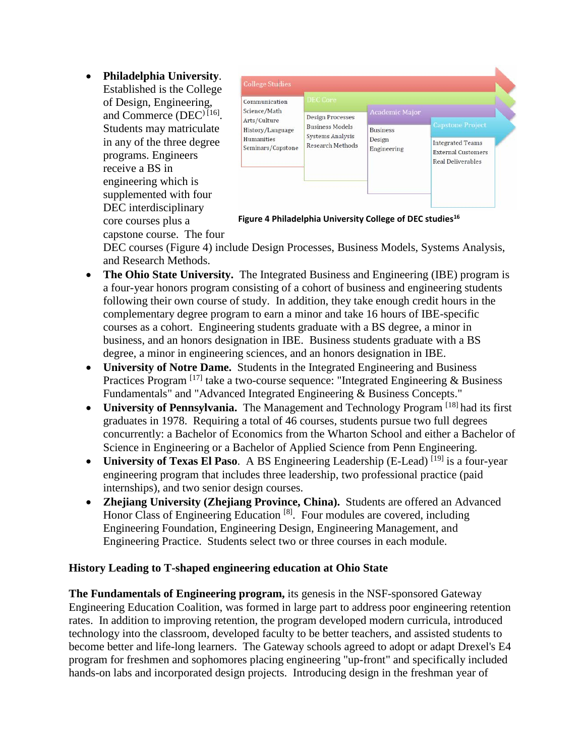• **Philadelphia University**. Established is the College of Design, Engineering, and Commerce (DEC<sup>) [16]</sup>. Students may matriculate in any of the three degree programs. Engineers receive a BS in engineering which is supplemented with four DEC interdisciplinary core courses plus a capstone course. The four



**Figure 4 Philadelphia University College of DEC studies16**

DEC courses (Figure 4) include Design Processes, Business Models, Systems Analysis, and Research Methods.

- **The Ohio State University.** The Integrated Business and Engineering (IBE) program is a four-year honors program consisting of a cohort of business and engineering students following their own course of study. In addition, they take enough credit hours in the complementary degree program to earn a minor and take 16 hours of IBE-specific courses as a cohort. Engineering students graduate with a BS degree, a minor in business, and an honors designation in IBE. Business students graduate with a BS degree, a minor in engineering sciences, and an honors designation in IBE.
- **University of Notre Dame.** Students in the Integrated Engineering and Business Practices Program  $[17]$  take a two-course sequence: "Integrated Engineering & Business Fundamentals" and "Advanced Integrated Engineering & Business Concepts."
- **University of Pennsylvania.** The Management and Technology Program <sup>[18]</sup> had its first graduates in 1978. Requiring a total of 46 courses, students pursue two full degrees concurrently: a Bachelor of Economics from the Wharton School and either a Bachelor of Science in Engineering or a Bachelor of Applied Science from Penn Engineering.
- **University of Texas El Paso.** A BS Engineering Leadership (E-Lead) <sup>[19]</sup> is a four-vear engineering program that includes three leadership, two professional practice (paid internships), and two senior design courses.
- **Zhejiang University (Zhejiang Province, China).** Students are offered an Advanced Honor Class of Engineering Education [8]. Four modules are covered, including Engineering Foundation, Engineering Design, Engineering Management, and Engineering Practice. Students select two or three courses in each module.

## **History Leading to T-shaped engineering education at Ohio State**

**The Fundamentals of Engineering program,** its genesis in the NSF-sponsored Gateway Engineering Education Coalition, was formed in large part to address poor engineering retention rates. In addition to improving retention, the program developed modern curricula, introduced technology into the classroom, developed faculty to be better teachers, and assisted students to become better and life-long learners. The Gateway schools agreed to adopt or adapt Drexel's E4 program for freshmen and sophomores placing engineering "up-front" and specifically included hands-on labs and incorporated design projects. Introducing design in the freshman year of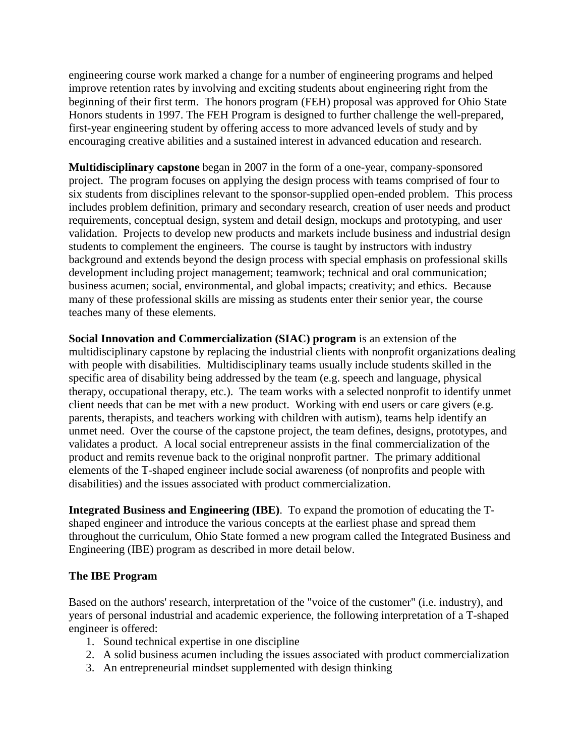engineering course work marked a change for a number of engineering programs and helped improve retention rates by involving and exciting students about engineering right from the beginning of their first term. The honors program (FEH) proposal was approved for Ohio State Honors students in 1997. The FEH Program is designed to further challenge the well-prepared, first-year engineering student by offering access to more advanced levels of study and by encouraging creative abilities and a sustained interest in advanced education and research.

**Multidisciplinary capstone** began in 2007 in the form of a one-year, company-sponsored project. The program focuses on applying the design process with teams comprised of four to six students from disciplines relevant to the sponsor-supplied open-ended problem. This process includes problem definition, primary and secondary research, creation of user needs and product requirements, conceptual design, system and detail design, mockups and prototyping, and user validation. Projects to develop new products and markets include business and industrial design students to complement the engineers. The course is taught by instructors with industry background and extends beyond the design process with special emphasis on professional skills development including project management; teamwork; technical and oral communication; business acumen; social, environmental, and global impacts; creativity; and ethics. Because many of these professional skills are missing as students enter their senior year, the course teaches many of these elements.

**Social Innovation and Commercialization (SIAC) program** is an extension of the multidisciplinary capstone by replacing the industrial clients with nonprofit organizations dealing with people with disabilities. Multidisciplinary teams usually include students skilled in the specific area of disability being addressed by the team (e.g. speech and language, physical therapy, occupational therapy, etc.). The team works with a selected nonprofit to identify unmet client needs that can be met with a new product. Working with end users or care givers (e.g. parents, therapists, and teachers working with children with autism), teams help identify an unmet need. Over the course of the capstone project, the team defines, designs, prototypes, and validates a product. A local social entrepreneur assists in the final commercialization of the product and remits revenue back to the original nonprofit partner. The primary additional elements of the T-shaped engineer include social awareness (of nonprofits and people with disabilities) and the issues associated with product commercialization.

**Integrated Business and Engineering (IBE)**. To expand the promotion of educating the Tshaped engineer and introduce the various concepts at the earliest phase and spread them throughout the curriculum, Ohio State formed a new program called the Integrated Business and Engineering (IBE) program as described in more detail below.

#### **The IBE Program**

Based on the authors' research, interpretation of the "voice of the customer" (i.e. industry), and years of personal industrial and academic experience, the following interpretation of a T-shaped engineer is offered:

- 1. Sound technical expertise in one discipline
- 2. A solid business acumen including the issues associated with product commercialization
- 3. An entrepreneurial mindset supplemented with design thinking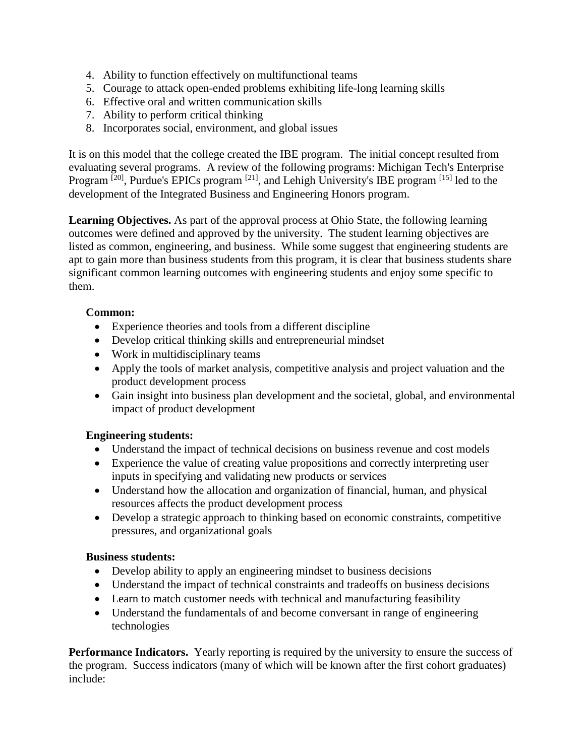- 4. Ability to function effectively on multifunctional teams
- 5. Courage to attack open-ended problems exhibiting life-long learning skills
- 6. Effective oral and written communication skills
- 7. Ability to perform critical thinking
- 8. Incorporates social, environment, and global issues

It is on this model that the college created the IBE program. The initial concept resulted from evaluating several programs. A review of the following programs: Michigan Tech's Enterprise Program <sup>[20]</sup>, Purdue's EPICs program <sup>[21]</sup>, and Lehigh University's IBE program <sup>[15]</sup> led to the development of the Integrated Business and Engineering Honors program.

**Learning Objectives.** As part of the approval process at Ohio State, the following learning outcomes were defined and approved by the university. The student learning objectives are listed as common, engineering, and business. While some suggest that engineering students are apt to gain more than business students from this program, it is clear that business students share significant common learning outcomes with engineering students and enjoy some specific to them.

## **Common:**

- Experience theories and tools from a different discipline
- Develop critical thinking skills and entrepreneurial mindset
- Work in multidisciplinary teams
- Apply the tools of market analysis, competitive analysis and project valuation and the product development process
- Gain insight into business plan development and the societal, global, and environmental impact of product development

## **Engineering students:**

- Understand the impact of technical decisions on business revenue and cost models
- Experience the value of creating value propositions and correctly interpreting user inputs in specifying and validating new products or services
- Understand how the allocation and organization of financial, human, and physical resources affects the product development process
- Develop a strategic approach to thinking based on economic constraints, competitive pressures, and organizational goals

## **Business students:**

- Develop ability to apply an engineering mindset to business decisions
- Understand the impact of technical constraints and tradeoffs on business decisions
- Learn to match customer needs with technical and manufacturing feasibility
- Understand the fundamentals of and become conversant in range of engineering technologies

**Performance Indicators.** Yearly reporting is required by the university to ensure the success of the program. Success indicators (many of which will be known after the first cohort graduates) include: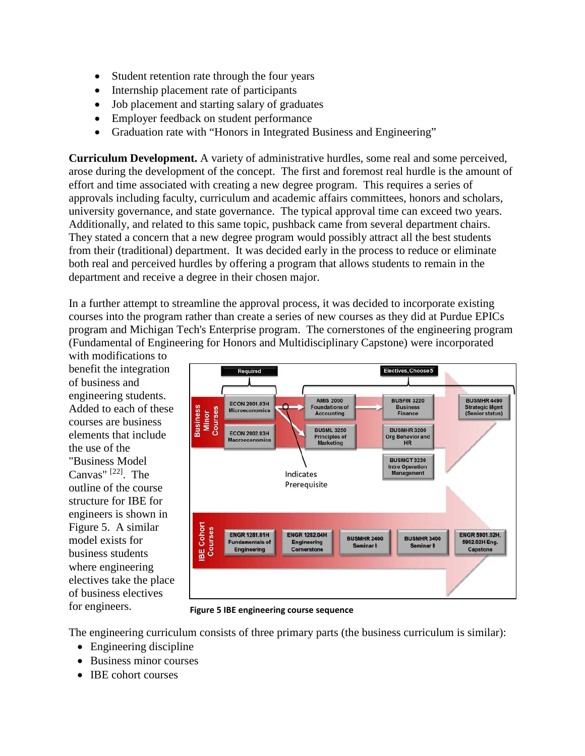- Student retention rate through the four years
- Internship placement rate of participants
- Job placement and starting salary of graduates
- Employer feedback on student performance
- Graduation rate with "Honors in Integrated Business and Engineering"

**Curriculum Development.** A variety of administrative hurdles, some real and some perceived, arose during the development of the concept. The first and foremost real hurdle is the amount of effort and time associated with creating a new degree program. This requires a series of approvals including faculty, curriculum and academic affairs committees, honors and scholars, university governance, and state governance. The typical approval time can exceed two years. Additionally, and related to this same topic, pushback came from several department chairs. They stated a concern that a new degree program would possibly attract all the best students from their (traditional) department. It was decided early in the process to reduce or eliminate both real and perceived hurdles by offering a program that allows students to remain in the department and receive a degree in their chosen major.

In a further attempt to streamline the approval process, it was decided to incorporate existing courses into the program rather than create a series of new courses as they did at Purdue EPICs program and Michigan Tech's Enterprise program. The cornerstones of the engineering program (Fundamental of Engineering for Honors and Multidisciplinary Capstone) were incorporated

with modifications to benefit the integration of business and engineering students. Added to each of these courses are business elements that include the use of the "Business Model Canvas" [22]. The outline of the course structure for IBE for engineers is shown in Figure 5. A similar model exists for business students where engineering electives take the place of business electives for engineers.



**Figure 5 IBE engineering course sequence**

The engineering curriculum consists of three primary parts (the business curriculum is similar):

- Engineering discipline
- Business minor courses
- **IBE** cohort courses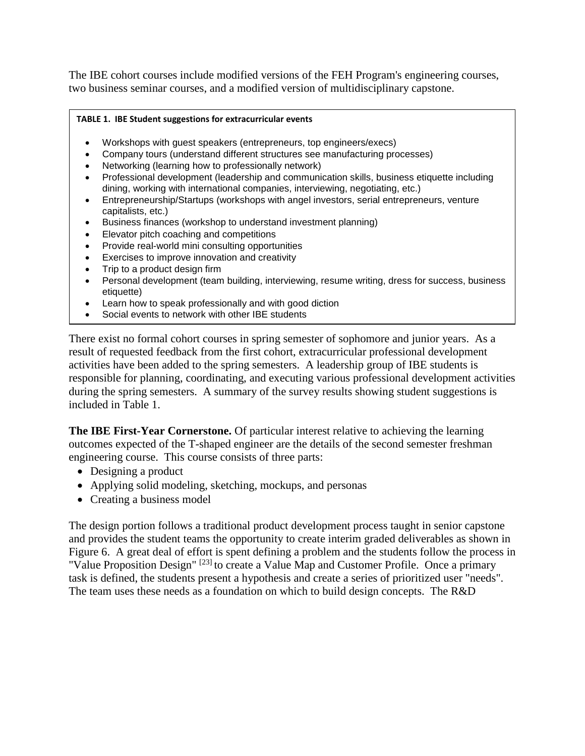The IBE cohort courses include modified versions of the FEH Program's engineering courses, two business seminar courses, and a modified version of multidisciplinary capstone.

#### **TABLE 1. IBE Student suggestions for extracurricular events**

- Workshops with guest speakers (entrepreneurs, top engineers/execs)
- Company tours (understand different structures see manufacturing processes)
- Networking (learning how to professionally network)
- Professional development (leadership and communication skills, business etiquette including dining, working with international companies, interviewing, negotiating, etc.)
- Entrepreneurship/Startups (workshops with angel investors, serial entrepreneurs, venture capitalists, etc.)
- Business finances (workshop to understand investment planning)
- Elevator pitch coaching and competitions
- Provide real-world mini consulting opportunities
- Exercises to improve innovation and creativity
- Trip to a product design firm
- Personal development (team building, interviewing, resume writing, dress for success, business etiquette)
- Learn how to speak professionally and with good diction
- Social events to network with other IBE students

There exist no formal cohort courses in spring semester of sophomore and junior years. As a result of requested feedback from the first cohort, extracurricular professional development activities have been added to the spring semesters. A leadership group of IBE students is responsible for planning, coordinating, and executing various professional development activities during the spring semesters. A summary of the survey results showing student suggestions is included in Table 1.

**The IBE First-Year Cornerstone.** Of particular interest relative to achieving the learning outcomes expected of the T-shaped engineer are the details of the second semester freshman engineering course. This course consists of three parts:

- Designing a product
- Applying solid modeling, sketching, mockups, and personas
- Creating a business model

The design portion follows a traditional product development process taught in senior capstone and provides the student teams the opportunity to create interim graded deliverables as shown in Figure 6. A great deal of effort is spent defining a problem and the students follow the process in "Value Proposition Design"<sup>[23]</sup> to create a Value Map and Customer Profile. Once a primary task is defined, the students present a hypothesis and create a series of prioritized user "needs". The team uses these needs as a foundation on which to build design concepts. The R&D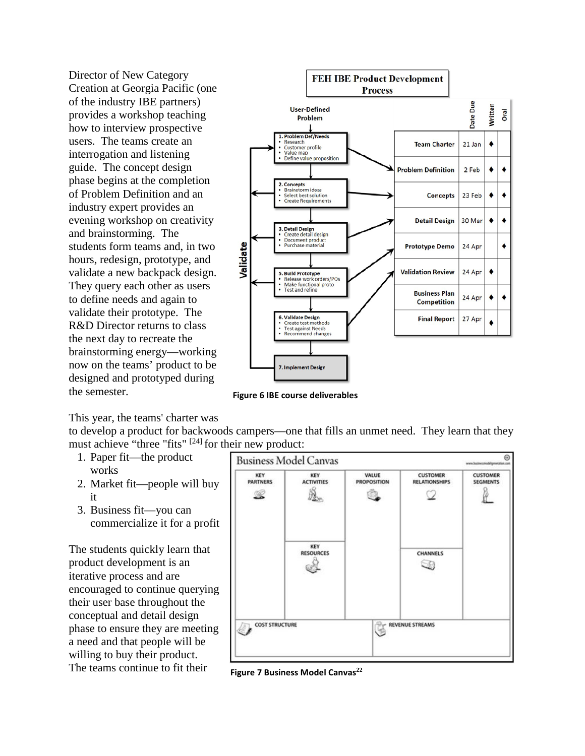Director of New Category Creation at Georgia Pacific (one of the industry IBE partners) provides a workshop teaching how to interview prospective users. The teams create an interrogation and listening guide. The concept design phase begins at the completion of Problem Definition and an industry expert provides an evening workshop on creativity and brainstorming. The students form teams and, in two hours, redesign, prototype, and validate a new backpack design. They query each other as users to define needs and again to validate their prototype. The R&D Director returns to class the next day to recreate the brainstorming energy—working now on the teams' product to be designed and prototyped during the semester.



**Figure 6 IBE course deliverables**

This year, the teams' charter was

to develop a product for backwoods campers—one that fills an unmet need. They learn that they must achieve "three "fits" <sup>[24]</sup> for their new product:

- 1. Paper fit—the product works
- 2. Market fit—people will buy it
- 3. Business fit—you can commercialize it for a profit

The students quickly learn that product development is an iterative process and are encouraged to continue querying their user base throughout the conceptual and detail design phase to ensure they are meeting a need and that people will be willing to buy their product. The teams continue to fit their



**Figure 7 Business Model Canvas<sup>22</sup>**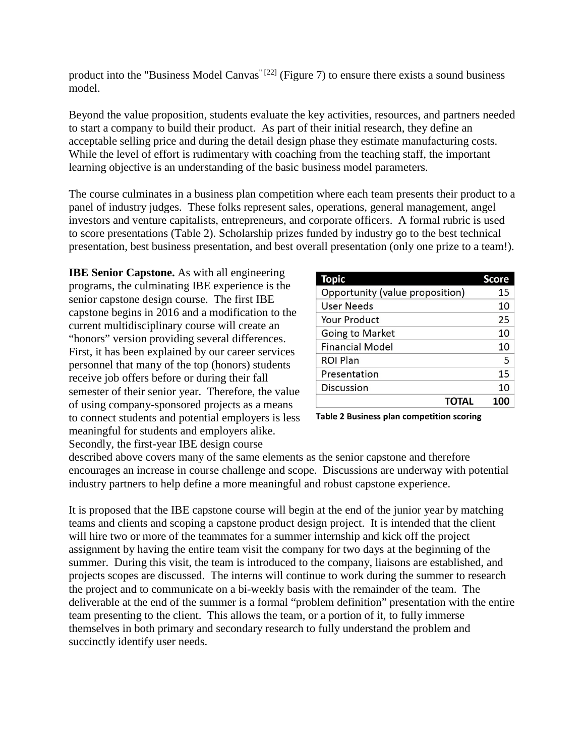product into the "Business Model Canvas<sup>" [22]</sup> (Figure 7) to ensure there exists a sound business model.

Beyond the value proposition, students evaluate the key activities, resources, and partners needed to start a company to build their product. As part of their initial research, they define an acceptable selling price and during the detail design phase they estimate manufacturing costs. While the level of effort is rudimentary with coaching from the teaching staff, the important learning objective is an understanding of the basic business model parameters.

The course culminates in a business plan competition where each team presents their product to a panel of industry judges. These folks represent sales, operations, general management, angel investors and venture capitalists, entrepreneurs, and corporate officers. A formal rubric is used to score presentations (Table 2). Scholarship prizes funded by industry go to the best technical presentation, best business presentation, and best overall presentation (only one prize to a team!).

**IBE Senior Capstone.** As with all engineering programs, the culminating IBE experience is the senior capstone design course. The first IBE capstone begins in 2016 and a modification to the current multidisciplinary course will create an "honors" version providing several differences. First, it has been explained by our career services personnel that many of the top (honors) students receive job offers before or during their fall semester of their senior year. Therefore, the value of using company-sponsored projects as a means to connect students and potential employers is less meaningful for students and employers alike. Secondly, the first-year IBE design course

| Topic                           | <b>Score</b> |
|---------------------------------|--------------|
| Opportunity (value proposition) | 15           |
| <b>User Needs</b>               | 10           |
| Your Product                    | 25           |
| Going to Market                 | 10           |
| <b>Financial Model</b>          | 10           |
| <b>ROI Plan</b>                 | 5            |
| Presentation                    | 15           |
| <b>Discussion</b>               | 10           |
| <b>TOTAL</b>                    | 100          |

**Table 2 Business plan competition scoring**

described above covers many of the same elements as the senior capstone and therefore encourages an increase in course challenge and scope. Discussions are underway with potential industry partners to help define a more meaningful and robust capstone experience.

It is proposed that the IBE capstone course will begin at the end of the junior year by matching teams and clients and scoping a capstone product design project. It is intended that the client will hire two or more of the teammates for a summer internship and kick off the project assignment by having the entire team visit the company for two days at the beginning of the summer. During this visit, the team is introduced to the company, liaisons are established, and projects scopes are discussed. The interns will continue to work during the summer to research the project and to communicate on a bi-weekly basis with the remainder of the team. The deliverable at the end of the summer is a formal "problem definition" presentation with the entire team presenting to the client. This allows the team, or a portion of it, to fully immerse themselves in both primary and secondary research to fully understand the problem and succinctly identify user needs.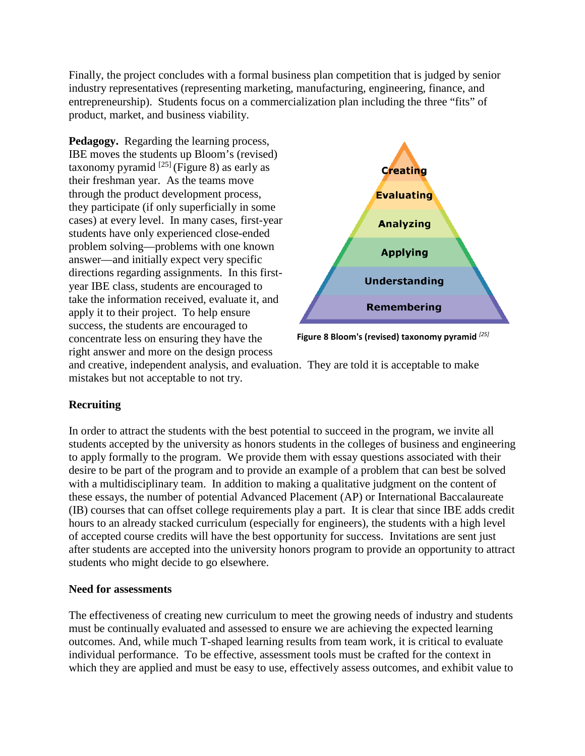Finally, the project concludes with a formal business plan competition that is judged by senior industry representatives (representing marketing, manufacturing, engineering, finance, and entrepreneurship). Students focus on a commercialization plan including the three "fits" of product, market, and business viability.

**Pedagogy.** Regarding the learning process, IBE moves the students up Bloom's (revised) taxonomy pyramid  $^{[25]}$  (Figure 8) as early as their freshman year. As the teams move through the product development process, they participate (if only superficially in some cases) at every level. In many cases, first-year students have only experienced close-ended problem solving—problems with one known answer—and initially expect very specific directions regarding assignments. In this firstyear IBE class, students are encouraged to take the information received, evaluate it, and apply it to their project. To help ensure success, the students are encouraged to concentrate less on ensuring they have the right answer and more on the design process



**Figure 8 Bloom's (revised) taxonomy pyramid** *[25]*

and creative, independent analysis, and evaluation. They are told it is acceptable to make mistakes but not acceptable to not try.

# **Recruiting**

In order to attract the students with the best potential to succeed in the program, we invite all students accepted by the university as honors students in the colleges of business and engineering to apply formally to the program. We provide them with essay questions associated with their desire to be part of the program and to provide an example of a problem that can best be solved with a multidisciplinary team. In addition to making a qualitative judgment on the content of these essays, the number of potential Advanced Placement (AP) or International Baccalaureate (IB) courses that can offset college requirements play a part. It is clear that since IBE adds credit hours to an already stacked curriculum (especially for engineers), the students with a high level of accepted course credits will have the best opportunity for success. Invitations are sent just after students are accepted into the university honors program to provide an opportunity to attract students who might decide to go elsewhere.

## **Need for assessments**

The effectiveness of creating new curriculum to meet the growing needs of industry and students must be continually evaluated and assessed to ensure we are achieving the expected learning outcomes. And, while much T-shaped learning results from team work, it is critical to evaluate individual performance. To be effective, assessment tools must be crafted for the context in which they are applied and must be easy to use, effectively assess outcomes, and exhibit value to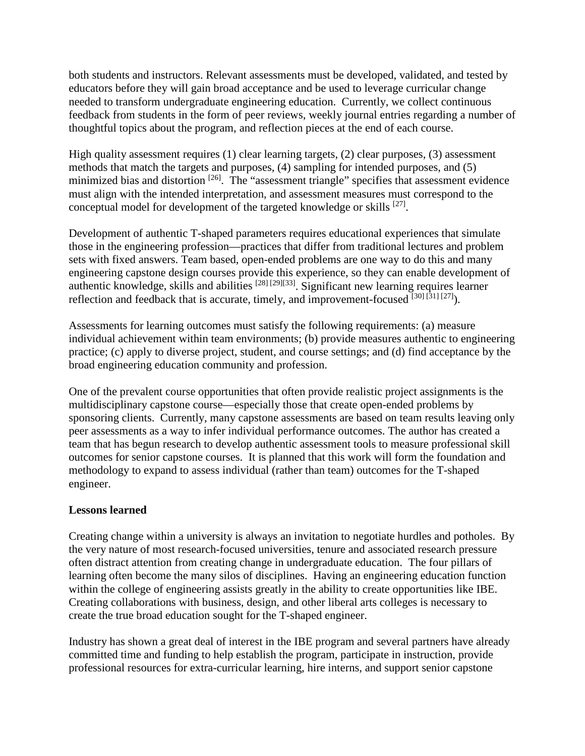both students and instructors. Relevant assessments must be developed, validated, and tested by educators before they will gain broad acceptance and be used to leverage curricular change needed to transform undergraduate engineering education. Currently, we collect continuous feedback from students in the form of peer reviews, weekly journal entries regarding a number of thoughtful topics about the program, and reflection pieces at the end of each course.

High quality assessment requires (1) clear learning targets, (2) clear purposes, (3) assessment methods that match the targets and purposes, (4) sampling for intended purposes, and (5) minimized bias and distortion  $^{[26]}$ . The "assessment triangle" specifies that assessment evidence must align with the intended interpretation, and assessment measures must correspond to the conceptual model for development of the targeted knowledge or skills [27].

Development of authentic T-shaped parameters requires educational experiences that simulate those in the engineering profession—practices that differ from traditional lectures and problem sets with fixed answers. Team based, open-ended problems are one way to do this and many engineering capstone design courses provide this experience, so they can enable development of authentic knowledge, skills and abilities [28] [29][33]. Significant new learning requires learner reflection and feedback that is accurate, timely, and improvement-focused  $[30]$   $[31]$   $[27]$ ).

Assessments for learning outcomes must satisfy the following requirements: (a) measure individual achievement within team environments; (b) provide measures authentic to engineering practice; (c) apply to diverse project, student, and course settings; and (d) find acceptance by the broad engineering education community and profession.

One of the prevalent course opportunities that often provide realistic project assignments is the multidisciplinary capstone course—especially those that create open-ended problems by sponsoring clients. Currently, many capstone assessments are based on team results leaving only peer assessments as a way to infer individual performance outcomes. The author has created a team that has begun research to develop authentic assessment tools to measure professional skill outcomes for senior capstone courses. It is planned that this work will form the foundation and methodology to expand to assess individual (rather than team) outcomes for the T-shaped engineer.

## **Lessons learned**

Creating change within a university is always an invitation to negotiate hurdles and potholes. By the very nature of most research-focused universities, tenure and associated research pressure often distract attention from creating change in undergraduate education. The four pillars of learning often become the many silos of disciplines. Having an engineering education function within the college of engineering assists greatly in the ability to create opportunities like IBE. Creating collaborations with business, design, and other liberal arts colleges is necessary to create the true broad education sought for the T-shaped engineer.

Industry has shown a great deal of interest in the IBE program and several partners have already committed time and funding to help establish the program, participate in instruction, provide professional resources for extra-curricular learning, hire interns, and support senior capstone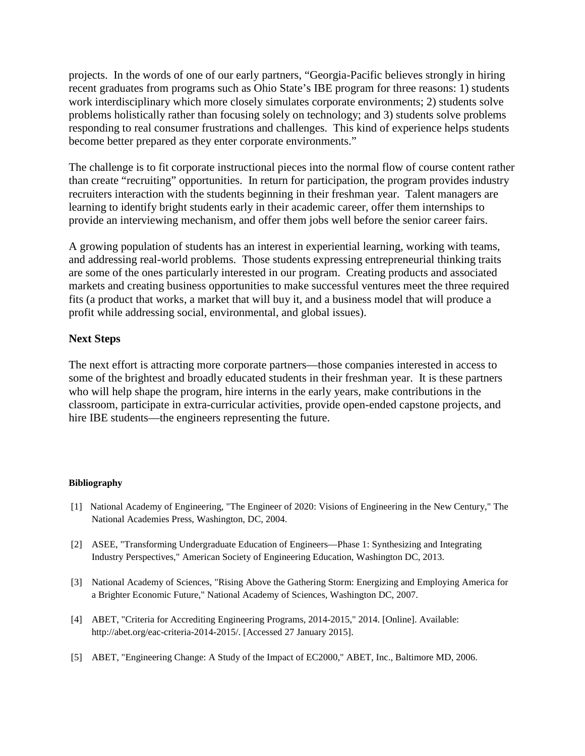projects. In the words of one of our early partners, "Georgia-Pacific believes strongly in hiring recent graduates from programs such as Ohio State's IBE program for three reasons: 1) students work interdisciplinary which more closely simulates corporate environments; 2) students solve problems holistically rather than focusing solely on technology; and 3) students solve problems responding to real consumer frustrations and challenges. This kind of experience helps students become better prepared as they enter corporate environments."

The challenge is to fit corporate instructional pieces into the normal flow of course content rather than create "recruiting" opportunities. In return for participation, the program provides industry recruiters interaction with the students beginning in their freshman year. Talent managers are learning to identify bright students early in their academic career, offer them internships to provide an interviewing mechanism, and offer them jobs well before the senior career fairs.

A growing population of students has an interest in experiential learning, working with teams, and addressing real-world problems. Those students expressing entrepreneurial thinking traits are some of the ones particularly interested in our program. Creating products and associated markets and creating business opportunities to make successful ventures meet the three required fits (a product that works, a market that will buy it, and a business model that will produce a profit while addressing social, environmental, and global issues).

#### **Next Steps**

The next effort is attracting more corporate partners—those companies interested in access to some of the brightest and broadly educated students in their freshman year. It is these partners who will help shape the program, hire interns in the early years, make contributions in the classroom, participate in extra-curricular activities, provide open-ended capstone projects, and hire IBE students—the engineers representing the future.

#### **Bibliography**

- [1] National Academy of Engineering, "The Engineer of 2020: Visions of Engineering in the New Century," The National Academies Press, Washington, DC, 2004.
- [2] ASEE, "Transforming Undergraduate Education of Engineers—Phase 1: Synthesizing and Integrating Industry Perspectives," American Society of Engineering Education, Washington DC, 2013.
- [3] National Academy of Sciences, "Rising Above the Gathering Storm: Energizing and Employing America for a Brighter Economic Future," National Academy of Sciences, Washington DC, 2007.
- [4] ABET, "Criteria for Accrediting Engineering Programs, 2014-2015," 2014. [Online]. Available: http://abet.org/eac-criteria-2014-2015/. [Accessed 27 January 2015].
- [5] ABET, "Engineering Change: A Study of the Impact of EC2000," ABET, Inc., Baltimore MD, 2006.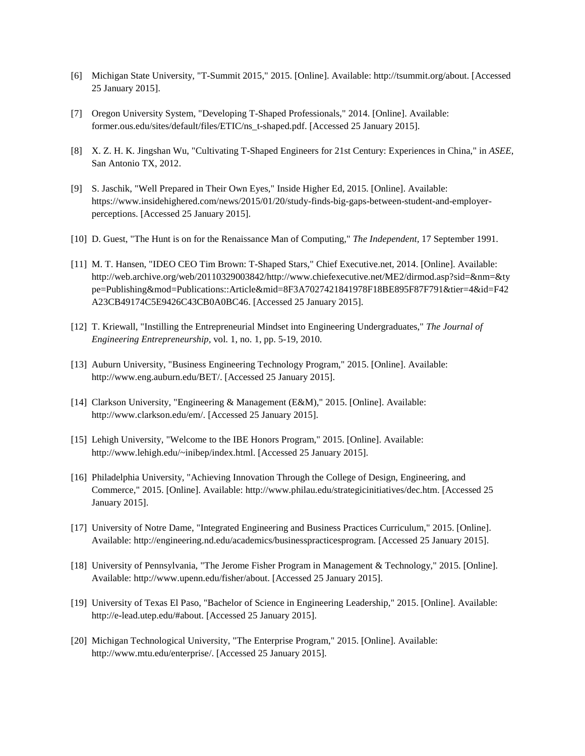- [6] Michigan State University, "T-Summit 2015," 2015. [Online]. Available: http://tsummit.org/about. [Accessed 25 January 2015].
- [7] Oregon University System, "Developing T-Shaped Professionals," 2014. [Online]. Available: former.ous.edu/sites/default/files/ETIC/ns\_t-shaped.pdf. [Accessed 25 January 2015].
- [8] X. Z. H. K. Jingshan Wu, "Cultivating T-Shaped Engineers for 21st Century: Experiences in China," in *ASEE*, San Antonio TX, 2012.
- [9] S. Jaschik, "Well Prepared in Their Own Eyes," Inside Higher Ed, 2015. [Online]. Available: https://www.insidehighered.com/news/2015/01/20/study-finds-big-gaps-between-student-and-employerperceptions. [Accessed 25 January 2015].
- [10] D. Guest, "The Hunt is on for the Renaissance Man of Computing," *The Independent,* 17 September 1991.
- [11] M. T. Hansen, "IDEO CEO Tim Brown: T-Shaped Stars," Chief Executive.net, 2014. [Online]. Available: http://web.archive.org/web/20110329003842/http://www.chiefexecutive.net/ME2/dirmod.asp?sid=&nm=&ty pe=Publishing&mod=Publications::Article&mid=8F3A7027421841978F18BE895F87F791&tier=4&id=F42 A23CB49174C5E9426C43CB0A0BC46. [Accessed 25 January 2015].
- [12] T. Kriewall, "Instilling the Entrepreneurial Mindset into Engineering Undergraduates," *The Journal of Engineering Entrepreneurship,* vol. 1, no. 1, pp. 5-19, 2010.
- [13] Auburn University, "Business Engineering Technology Program," 2015. [Online]. Available: http://www.eng.auburn.edu/BET/. [Accessed 25 January 2015].
- [14] Clarkson University, "Engineering & Management (E&M)," 2015. [Online]. Available: http://www.clarkson.edu/em/. [Accessed 25 January 2015].
- [15] Lehigh University, "Welcome to the IBE Honors Program," 2015. [Online]. Available: http://www.lehigh.edu/~inibep/index.html. [Accessed 25 January 2015].
- [16] Philadelphia University, "Achieving Innovation Through the College of Design, Engineering, and Commerce," 2015. [Online]. Available: http://www.philau.edu/strategicinitiatives/dec.htm. [Accessed 25 January 2015].
- [17] University of Notre Dame, "Integrated Engineering and Business Practices Curriculum," 2015. [Online]. Available: http://engineering.nd.edu/academics/businesspracticesprogram. [Accessed 25 January 2015].
- [18] University of Pennsylvania, "The Jerome Fisher Program in Management & Technology," 2015. [Online]. Available: http://www.upenn.edu/fisher/about. [Accessed 25 January 2015].
- [19] University of Texas El Paso, "Bachelor of Science in Engineering Leadership," 2015. [Online]. Available: http://e-lead.utep.edu/#about. [Accessed 25 January 2015].
- [20] Michigan Technological University, "The Enterprise Program," 2015. [Online]. Available: http://www.mtu.edu/enterprise/. [Accessed 25 January 2015].